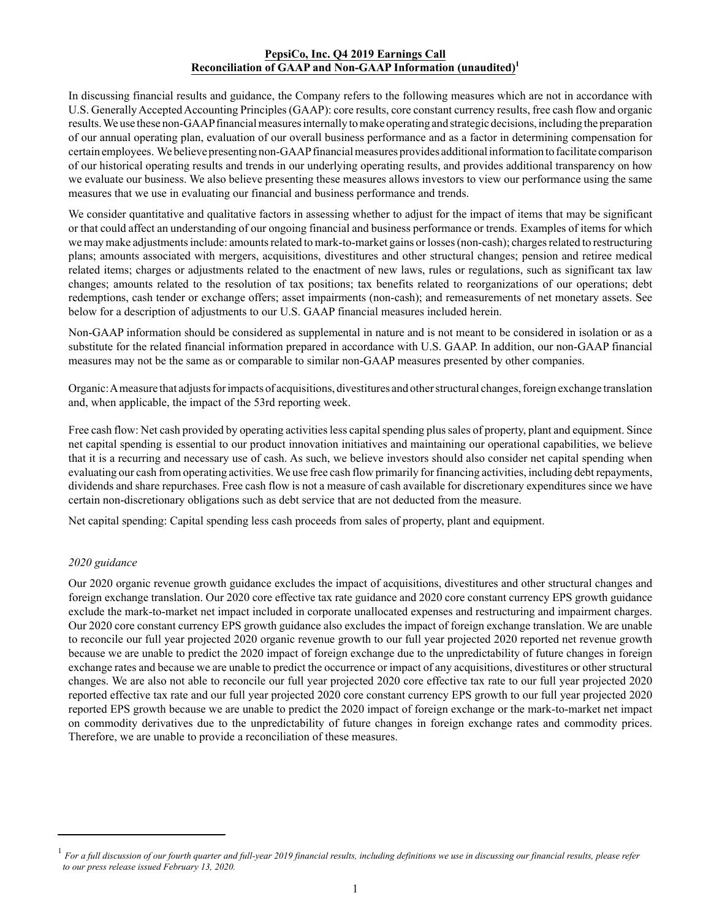## **PepsiCo, Inc. Q4 2019 Earnings Call Reconciliation of GAAP and Non-GAAP Information (unaudited)<sup>1</sup>**

In discussing financial results and guidance, the Company refers to the following measures which are not in accordance with U.S. Generally Accepted Accounting Principles (GAAP): core results, core constant currency results, free cash flow and organic results. We use these non-GAAP financial measures internally to make operating and strategic decisions, including the preparation of our annual operating plan, evaluation of our overall business performance and as a factor in determining compensation for certain employees. We believe presenting non-GAAP financial measures provides additional information to facilitate comparison of our historical operating results and trends in our underlying operating results, and provides additional transparency on how we evaluate our business. We also believe presenting these measures allows investors to view our performance using the same measures that we use in evaluating our financial and business performance and trends.

We consider quantitative and qualitative factors in assessing whether to adjust for the impact of items that may be significant or that could affect an understanding of our ongoing financial and business performance or trends. Examples of items for which we may make adjustments include: amounts related to mark-to-market gains or losses (non-cash); charges related to restructuring plans; amounts associated with mergers, acquisitions, divestitures and other structural changes; pension and retiree medical related items; charges or adjustments related to the enactment of new laws, rules or regulations, such as significant tax law changes; amounts related to the resolution of tax positions; tax benefits related to reorganizations of our operations; debt redemptions, cash tender or exchange offers; asset impairments (non-cash); and remeasurements of net monetary assets. See below for a description of adjustments to our U.S. GAAP financial measures included herein.

Non-GAAP information should be considered as supplemental in nature and is not meant to be considered in isolation or as a substitute for the related financial information prepared in accordance with U.S. GAAP. In addition, our non-GAAP financial measures may not be the same as or comparable to similar non-GAAP measures presented by other companies.

Organic: A measure that adjusts for impacts of acquisitions, divestitures and other structural changes, foreign exchange translation and, when applicable, the impact of the 53rd reporting week.

Free cash flow: Net cash provided by operating activities less capital spending plus sales of property, plant and equipment. Since net capital spending is essential to our product innovation initiatives and maintaining our operational capabilities, we believe that it is a recurring and necessary use of cash. As such, we believe investors should also consider net capital spending when evaluating our cash from operating activities. We use free cash flow primarily for financing activities, including debt repayments, dividends and share repurchases. Free cash flow is not a measure of cash available for discretionary expenditures since we have certain non-discretionary obligations such as debt service that are not deducted from the measure.

Net capital spending: Capital spending less cash proceeds from sales of property, plant and equipment.

## *2020 guidance*

Our 2020 organic revenue growth guidance excludes the impact of acquisitions, divestitures and other structural changes and foreign exchange translation. Our 2020 core effective tax rate guidance and 2020 core constant currency EPS growth guidance exclude the mark-to-market net impact included in corporate unallocated expenses and restructuring and impairment charges. Our 2020 core constant currency EPS growth guidance also excludes the impact of foreign exchange translation. We are unable to reconcile our full year projected 2020 organic revenue growth to our full year projected 2020 reported net revenue growth because we are unable to predict the 2020 impact of foreign exchange due to the unpredictability of future changes in foreign exchange rates and because we are unable to predict the occurrence or impact of any acquisitions, divestitures or other structural changes. We are also not able to reconcile our full year projected 2020 core effective tax rate to our full year projected 2020 reported effective tax rate and our full year projected 2020 core constant currency EPS growth to our full year projected 2020 reported EPS growth because we are unable to predict the 2020 impact of foreign exchange or the mark-to-market net impact on commodity derivatives due to the unpredictability of future changes in foreign exchange rates and commodity prices. Therefore, we are unable to provide a reconciliation of these measures.

<sup>&</sup>lt;sup>1</sup> For a full discussion of our fourth quarter and full-year 2019 financial results, including definitions we use in discussing our financial results, please refer  *to our press release issued February 13, 2020.*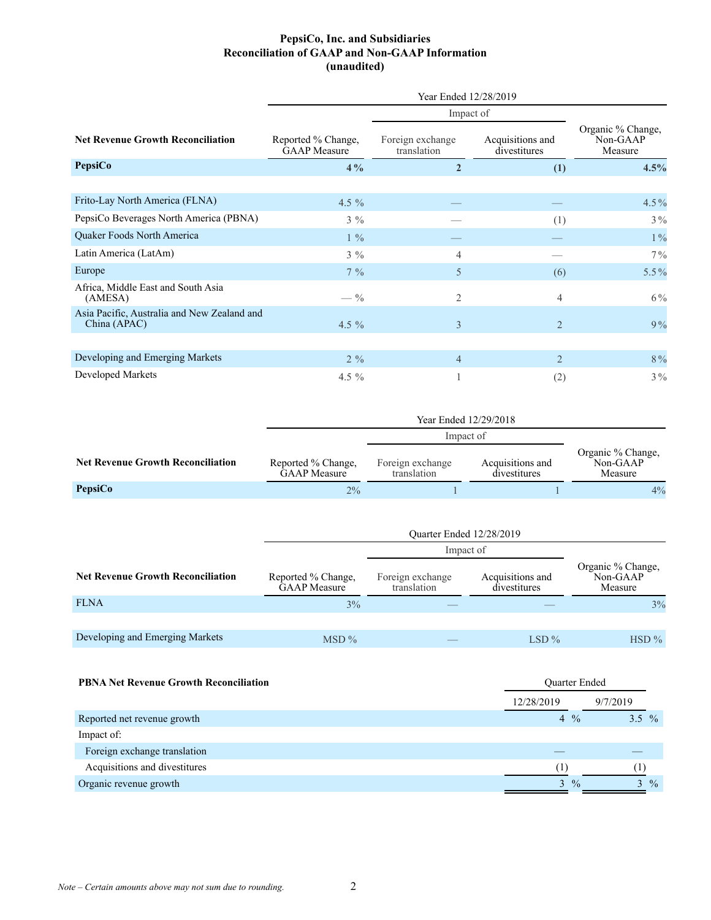## **PepsiCo, Inc. and Subsidiaries Reconciliation of GAAP and Non-GAAP Information (unaudited)**

|                                                             | Year Ended 12/28/2019                     |                                 |                                  |                                          |  |  |  |  |
|-------------------------------------------------------------|-------------------------------------------|---------------------------------|----------------------------------|------------------------------------------|--|--|--|--|
|                                                             |                                           |                                 |                                  |                                          |  |  |  |  |
| <b>Net Revenue Growth Reconciliation</b>                    | Reported % Change,<br><b>GAAP</b> Measure | Foreign exchange<br>translation | Acquisitions and<br>divestitures | Organic % Change,<br>Non-GAAP<br>Measure |  |  |  |  |
| <b>PepsiCo</b>                                              | $4\%$                                     | $\overline{2}$                  | (1)                              | 4.5%                                     |  |  |  |  |
|                                                             |                                           |                                 |                                  |                                          |  |  |  |  |
| Frito-Lay North America (FLNA)                              | 4.5 $%$                                   |                                 |                                  | 4.5%                                     |  |  |  |  |
| PepsiCo Beverages North America (PBNA)                      | $3\%$                                     |                                 | (1)                              | $3\%$                                    |  |  |  |  |
| Quaker Foods North America                                  | $1\%$                                     |                                 |                                  | $1\%$                                    |  |  |  |  |
| Latin America (LatAm)                                       | $3\%$                                     | $\overline{4}$                  |                                  | $7\%$                                    |  |  |  |  |
| Europe                                                      | $7\%$                                     | 5                               | (6)                              | $5.5\%$                                  |  |  |  |  |
| Africa, Middle East and South Asia<br>(AMESA)               | $- \frac{0}{0}$                           | $\overline{2}$                  | 4                                | $6\%$                                    |  |  |  |  |
| Asia Pacific, Australia and New Zealand and<br>China (APAC) | 4.5 $\%$                                  | $\overline{3}$                  | $\overline{2}$                   | 9%                                       |  |  |  |  |
|                                                             |                                           |                                 |                                  |                                          |  |  |  |  |
| Developing and Emerging Markets                             | $2\%$                                     | $\overline{4}$                  | $\overline{2}$                   | 8%                                       |  |  |  |  |
| Developed Markets                                           | 4.5 $\%$                                  |                                 | (2)                              | $3\%$                                    |  |  |  |  |

|                                          | Impact of                                 |                                 |                                  |                                          |
|------------------------------------------|-------------------------------------------|---------------------------------|----------------------------------|------------------------------------------|
| <b>Net Revenue Growth Reconciliation</b> | Reported % Change,<br><b>GAAP</b> Measure | Foreign exchange<br>translation | Acquisitions and<br>divestitures | Organic % Change,<br>Non-GAAP<br>Measure |
| PepsiCo                                  | $2\%$                                     |                                 |                                  | 4%                                       |

|                                          | Ouarter Ended 12/28/2019                  |                                 |                                  |                                          |  |  |  |  |
|------------------------------------------|-------------------------------------------|---------------------------------|----------------------------------|------------------------------------------|--|--|--|--|
|                                          |                                           | Impact of                       |                                  |                                          |  |  |  |  |
| <b>Net Revenue Growth Reconciliation</b> | Reported % Change,<br><b>GAAP</b> Measure | Foreign exchange<br>translation | Acquisitions and<br>divestitures | Organic % Change,<br>Non-GAAP<br>Measure |  |  |  |  |
| <b>FLNA</b>                              | 3%                                        |                                 |                                  | 3%                                       |  |  |  |  |
|                                          |                                           |                                 |                                  |                                          |  |  |  |  |
| Developing and Emerging Markets          | $MSD\%$                                   |                                 | $LSD\%$                          | $HSD\%$                                  |  |  |  |  |
|                                          |                                           |                                 |                                  |                                          |  |  |  |  |

| <b>PBNA Net Revenue Growth Reconciliation</b> | <b>Ouarter Ended</b> |                |  |  |  |
|-----------------------------------------------|----------------------|----------------|--|--|--|
|                                               | 12/28/2019           | 9/7/2019       |  |  |  |
| Reported net revenue growth                   | $4\frac{0}{0}$       | $3.5\%$        |  |  |  |
| Impact of:                                    |                      |                |  |  |  |
| Foreign exchange translation                  |                      |                |  |  |  |
| Acquisitions and divestitures                 |                      |                |  |  |  |
| Organic revenue growth                        | $3\frac{9}{6}$       | $3\frac{9}{6}$ |  |  |  |